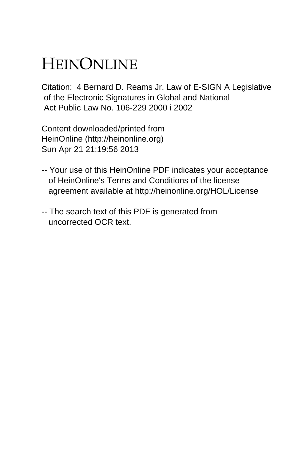## HEINONLINE

Citation: 4 Bernard D. Reams Jr. Law of E-SIGN A Legislative of the Electronic Signatures in Global and National Act Public Law No. 106-229 2000 i 2002

Content downloaded/printed from HeinOnline (http://heinonline.org) Sun Apr 21 21:19:56 2013

- -- Your use of this HeinOnline PDF indicates your acceptance of HeinOnline's Terms and Conditions of the license agreement available at http://heinonline.org/HOL/License
- -- The search text of this PDF is generated from uncorrected OCR text.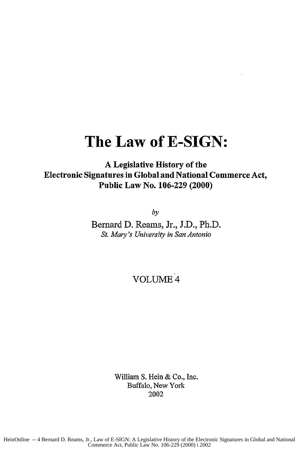## **The Law of E-SIGN:**

**A** Legislative History of the Electronic Signatures in Global and National Commerce Act, Public Law No. **106-229** (2000)

*by*

Bernard D. Reams, Jr., J.D., Ph.D. *St. Mary's University in San Antonio*

VOLUME 4

William S. Hein & Co., Inc. Buffalo, New York 2002